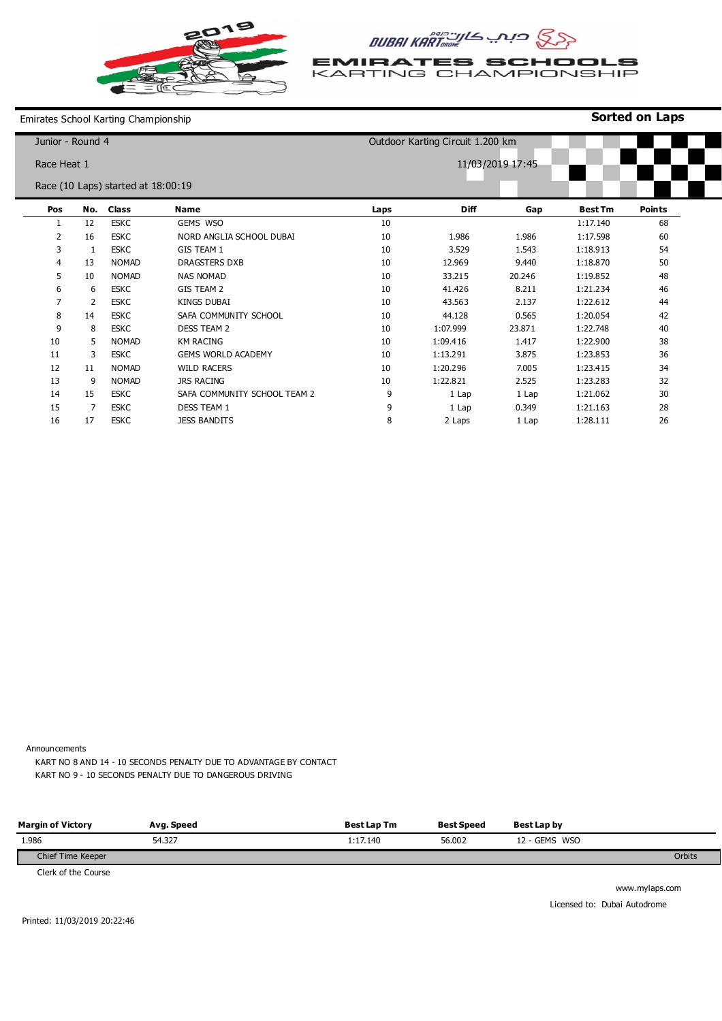

## AUBAI KART

**EMIRATES SCHOOLS** KARTING CHAMPIONSHIP

**Sorted on Laps**

Emirates School Karting Championship

| Junior - Round 4 |     |                                    |                              |                  | Outdoor Karting Circuit 1.200 km |        |                |               |  |  |
|------------------|-----|------------------------------------|------------------------------|------------------|----------------------------------|--------|----------------|---------------|--|--|
| Race Heat 1      |     |                                    |                              | 11/03/2019 17:45 |                                  |        |                |               |  |  |
|                  |     | Race (10 Laps) started at 18:00:19 |                              |                  |                                  |        |                |               |  |  |
| Pos              | No. | <b>Class</b>                       | <b>Name</b>                  | Laps             | <b>Diff</b>                      | Gap    | <b>Best Tm</b> | <b>Points</b> |  |  |
|                  | 12  | <b>ESKC</b>                        | GEMS WSO                     | 10               |                                  |        | 1:17.140       | 68            |  |  |
| 2                | 16  | <b>ESKC</b>                        | NORD ANGLIA SCHOOL DUBAI     | 10               | 1.986                            | 1.986  | 1:17.598       | 60            |  |  |
| 3                | 1   | <b>ESKC</b>                        | <b>GIS TEAM 1</b>            | 10               | 3.529                            | 1.543  | 1:18.913       | 54            |  |  |
| 4                | 13  | <b>NOMAD</b>                       | <b>DRAGSTERS DXB</b>         | 10               | 12.969                           | 9.440  | 1:18.870       | 50            |  |  |
| 5                | 10  | <b>NOMAD</b>                       | <b>NAS NOMAD</b>             | 10               | 33.215                           | 20.246 | 1:19.852       | 48            |  |  |
| 6                | 6   | <b>ESKC</b>                        | GIS TEAM 2                   | 10               | 41.426                           | 8.211  | 1:21.234       | 46            |  |  |
| 7                | 2   | <b>ESKC</b>                        | KINGS DUBAI                  | 10               | 43.563                           | 2.137  | 1:22.612       | 44            |  |  |
| 8                | 14  | <b>ESKC</b>                        | SAFA COMMUNITY SCHOOL        | 10               | 44.128                           | 0.565  | 1:20.054       | 42            |  |  |
| 9                | 8   | <b>ESKC</b>                        | <b>DESS TEAM 2</b>           | 10               | 1:07.999                         | 23.871 | 1:22.748       | 40            |  |  |
| 10               | 5   | <b>NOMAD</b>                       | <b>KM RACING</b>             | 10               | 1:09.416                         | 1.417  | 1:22.900       | 38            |  |  |
| 11               | 3   | <b>ESKC</b>                        | <b>GEMS WORLD ACADEMY</b>    | 10               | 1:13.291                         | 3.875  | 1:23.853       | 36            |  |  |
| 12               | 11  | <b>NOMAD</b>                       | <b>WILD RACERS</b>           | 10               | 1:20.296                         | 7.005  | 1:23.415       | 34            |  |  |
| 13               | 9   | <b>NOMAD</b>                       | <b>JRS RACING</b>            | 10               | 1:22.821                         | 2.525  | 1:23.283       | 32            |  |  |
| 14               | 15  | <b>ESKC</b>                        | SAFA COMMUNITY SCHOOL TEAM 2 | 9                | 1 Lap                            | 1 Lap  | 1:21.062       | 30            |  |  |
| 15               | 7   | <b>ESKC</b>                        | <b>DESS TEAM 1</b>           | 9                | 1 Lap                            | 0.349  | 1:21.163       | 28            |  |  |
| 16               | 17  | <b>ESKC</b>                        | <b>JESS BANDITS</b>          | 8                | 2 Laps                           | 1 Lap  | 1:28.111       | 26            |  |  |

Announcements

KART NO 8 AND 14 - 10 SECONDS PENALTY DUE TO ADVANTAGE BY CONTACT KART NO 9 - 10 SECONDS PENALTY DUE TO DANGEROUS DRIVING

| <b>Margin of Victory</b> | Avg. Speed | <b>Best Lap Tm</b> | <b>Best Speed</b> | Best Lap by   |        |
|--------------------------|------------|--------------------|-------------------|---------------|--------|
| 1.986                    | 54.327     | 1:17.140           | 56.002            | 12 - GEMS WSO |        |
| Chief Time Keeper        |            |                    |                   |               | Orbits |
| .                        |            |                    |                   |               |        |

Clerk of the Course

www.mylaps.com Licensed to: Dubai Autodrome

Printed: 11/03/2019 20:22:46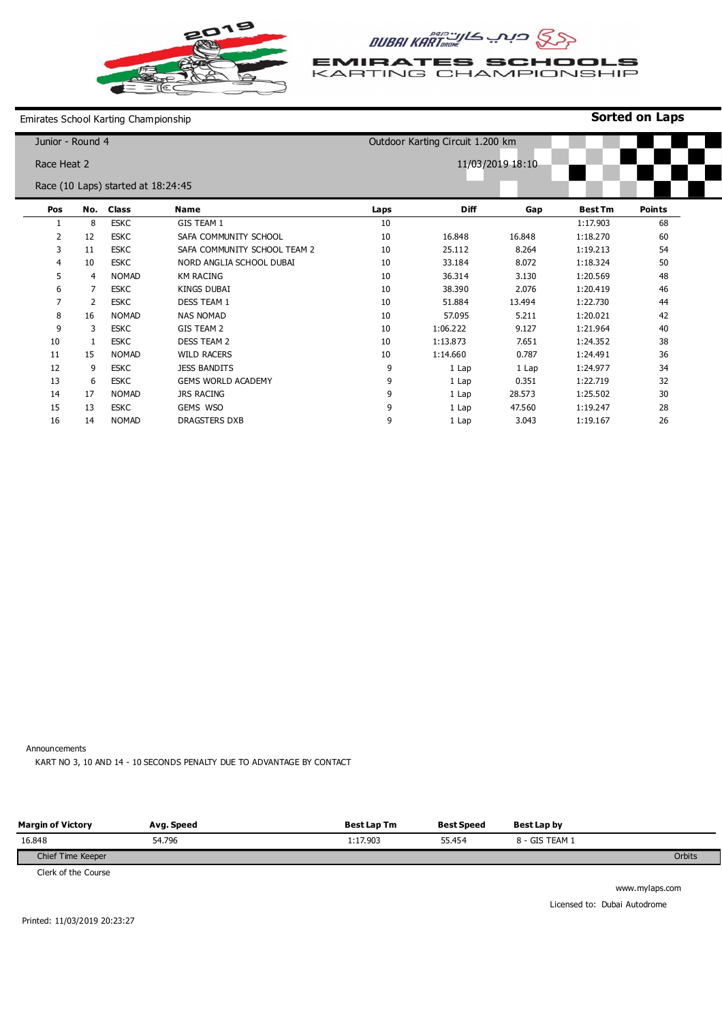

WILD RACERS JESS BANDITS GEMS WORLD ACADEMY

JRS RACING GEMS WSO DRAGSTERS DXB

## AUBAI KART

**EMIRATES SCHOOLS** KARTING CHAMPIONSHIP

Emirates School Karting Championship

| Junior - Round 4 |    |                                    |                              | Outdoor Karting Circuit 1.200 km |             |        |                |               |  |  |  |
|------------------|----|------------------------------------|------------------------------|----------------------------------|-------------|--------|----------------|---------------|--|--|--|
| Race Heat 2      |    |                                    |                              | 11/03/2019 18:10                 |             |        |                |               |  |  |  |
|                  |    | Race (10 Laps) started at 18:24:45 |                              |                                  |             |        |                |               |  |  |  |
| Pos              |    | No. Class                          | Name                         | Laps                             | <b>Diff</b> | Gap    | <b>Best Tm</b> | <b>Points</b> |  |  |  |
|                  | 8  | <b>ESKC</b>                        | GIS TEAM 1                   | 10                               |             |        | 1:17.903       | 68            |  |  |  |
| 2                | 12 | <b>ESKC</b>                        | SAFA COMMUNITY SCHOOL        | 10                               | 16.848      | 16.848 | 1:18.270       | 60            |  |  |  |
| 3                | 11 | <b>ESKC</b>                        | SAFA COMMUNITY SCHOOL TEAM 2 | 10                               | 25.112      | 8.264  | 1:19.213       | 54            |  |  |  |
| $\overline{4}$   | 10 | <b>ESKC</b>                        | NORD ANGLIA SCHOOL DUBAI     | 10                               | 33.184      | 8.072  | 1:18.324       | 50            |  |  |  |
| 5                | 4  | <b>NOMAD</b>                       | <b>KM RACING</b>             | 10                               | 36.314      | 3.130  | 1:20.569       | 48            |  |  |  |
| 6                | 7  | <b>ESKC</b>                        | <b>KINGS DUBAI</b>           | 10                               | 38.390      | 2.076  | 1:20.419       | 46            |  |  |  |
| $\overline{7}$   | 2  | <b>ESKC</b>                        | <b>DESS TEAM 1</b>           | 10                               | 51.884      | 13.494 | 1:22.730       | 44            |  |  |  |
| 8                | 16 | <b>NOMAD</b>                       | <b>NAS NOMAD</b>             | 10                               | 57.095      | 5.211  | 1:20.021       | 42            |  |  |  |
| 9                | 3  | <b>ESKC</b>                        | GIS TEAM 2                   | 10                               | 1:06.222    | 9.127  | 1:21.964       | 40            |  |  |  |
| 10               |    | <b>ESKC</b>                        | <b>DESS TEAM 2</b>           | 10                               | 1:13.873    | 7.651  | 1:24.352       | 38            |  |  |  |

1:14.660 1 Lap 1 Lap 1 Lap 1 Lap 1 Lap

0.787 1 Lap 0.351 28.573 47.560 3.043

1:24.491 1:24.977 1:22.719 1:25.502 1:19.247 1:19.167

**Sorted on Laps**

Announcements

14 NOMAD

NOMAD ESKC ESKC NOMAD ESKC

KART NO 3, 10 AND 14 - 10 SECONDS PENALTY DUE TO ADVANTAGE BY CONTACT

| <b>Margin of Victory</b>                                                                         | Avg. Speed | <b>Best Lap Tm</b> | <b>Best Speed</b> | Best Lap by    |        |
|--------------------------------------------------------------------------------------------------|------------|--------------------|-------------------|----------------|--------|
| 16.848                                                                                           | 54.796     | 1:17.903           | 55.454            | 8 - GIS TEAM 1 |        |
| Chief Time Keeper                                                                                |            |                    |                   |                | Orbits |
| $\mathcal{O}(1 + 1)$ . $\mathcal{O}(1)$ . $\mathcal{O}(1)$ . $\mathcal{O}(1)$ . $\mathcal{O}(1)$ |            |                    |                   |                |        |

Clerk of the Course

www.mylaps.com Licensed to: Dubai Autodrome

Printed: 11/03/2019 20:23:27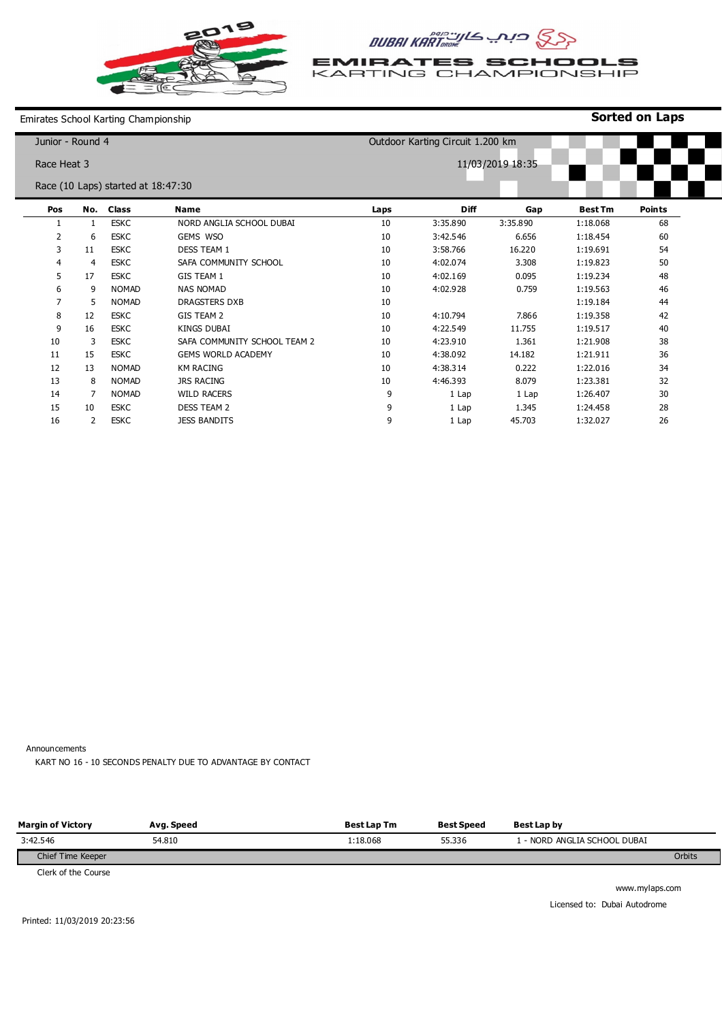

## ASS CURAI KARTOROME

**EMIRATES SCHOOLS** KARTING CHAMPIONSHIP

**Sorted on Laps**

Emirates School Karting Championship

| Junior - Round 4<br>Outdoor Karting Circuit 1.200 km |     |                                    |                              |                  |             |          |                |               |  |  |
|------------------------------------------------------|-----|------------------------------------|------------------------------|------------------|-------------|----------|----------------|---------------|--|--|
| Race Heat 3                                          |     |                                    |                              | 11/03/2019 18:35 |             |          |                |               |  |  |
|                                                      |     | Race (10 Laps) started at 18:47:30 |                              |                  |             |          |                |               |  |  |
| Pos                                                  | No. | <b>Class</b>                       | <b>Name</b>                  | Laps             | <b>Diff</b> | Gap      | <b>Best Tm</b> | <b>Points</b> |  |  |
|                                                      | 1   | <b>ESKC</b>                        | NORD ANGLIA SCHOOL DUBAI     | 10               | 3:35.890    | 3:35.890 | 1:18.068       | 68            |  |  |
| 2                                                    | 6   | <b>ESKC</b>                        | GEMS WSO                     | 10               | 3:42.546    | 6.656    | 1:18.454       | 60            |  |  |
| 3                                                    | 11  | <b>ESKC</b>                        | <b>DESS TEAM 1</b>           | 10               | 3:58.766    | 16.220   | 1:19.691       | 54            |  |  |
| 4                                                    | 4   | <b>ESKC</b>                        | SAFA COMMUNITY SCHOOL        | 10               | 4:02.074    | 3.308    | 1:19.823       | 50            |  |  |
| 5                                                    | 17  | <b>ESKC</b>                        | GIS TEAM 1                   | 10               | 4:02.169    | 0.095    | 1:19.234       | 48            |  |  |
| 6                                                    | 9   | <b>NOMAD</b>                       | <b>NAS NOMAD</b>             | 10               | 4:02.928    | 0.759    | 1:19.563       | 46            |  |  |
| 7                                                    | 5   | <b>NOMAD</b>                       | <b>DRAGSTERS DXB</b>         | 10               |             |          | 1:19.184       | 44            |  |  |
| 8                                                    | 12  | <b>ESKC</b>                        | GIS TEAM 2                   | 10               | 4:10.794    | 7.866    | 1:19.358       | 42            |  |  |
| 9                                                    | 16  | <b>ESKC</b>                        | <b>KINGS DUBAI</b>           | 10               | 4:22.549    | 11.755   | 1:19.517       | 40            |  |  |
| 10                                                   | 3   | <b>ESKC</b>                        | SAFA COMMUNITY SCHOOL TEAM 2 | 10               | 4:23.910    | 1.361    | 1:21.908       | 38            |  |  |
| 11                                                   | 15  | <b>ESKC</b>                        | <b>GEMS WORLD ACADEMY</b>    | 10               | 4:38.092    | 14.182   | 1:21.911       | 36            |  |  |
| 12                                                   | 13  | <b>NOMAD</b>                       | <b>KM RACING</b>             | 10               | 4:38.314    | 0.222    | 1:22.016       | 34            |  |  |
| 13                                                   | 8   | <b>NOMAD</b>                       | <b>JRS RACING</b>            | 10               | 4:46.393    | 8.079    | 1:23.381       | 32            |  |  |
| 14                                                   | 7   | <b>NOMAD</b>                       | <b>WILD RACERS</b>           | 9                | 1 Lap       | 1 Lap    | 1:26.407       | 30            |  |  |
| 15                                                   | 10  | <b>ESKC</b>                        | <b>DESS TEAM 2</b>           | 9                | 1 Lap       | 1.345    | 1:24.458       | 28            |  |  |
| 16                                                   | 2   | <b>ESKC</b>                        | <b>JESS BANDITS</b>          | 9                | 1 Lap       | 45.703   | 1:32.027       | 26            |  |  |

Announcements

KART NO 16 - 10 SECONDS PENALTY DUE TO ADVANTAGE BY CONTACT

| <b>Margin of Victory</b>     | Avg. Speed | <b>Best Lap Tm</b> | <b>Best Speed</b> | Best Lap by                |        |
|------------------------------|------------|--------------------|-------------------|----------------------------|--------|
| 3:42.546                     | 54.810     | 1:18.068           | 55.336            | - NORD ANGLIA SCHOOL DUBAI |        |
| Chief Time Keeper            |            |                    |                   |                            | Orbits |
| $C$ and $C$ that $C$ arrives |            |                    |                   |                            |        |

Clerk of the Course

www.mylaps.com Licensed to: Dubai Autodrome

Printed: 11/03/2019 20:23:56